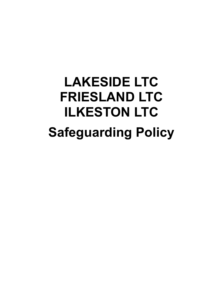# **LAKESIDE LTC FRIESLAND LTC ILKESTON LTC Safeguarding Policy**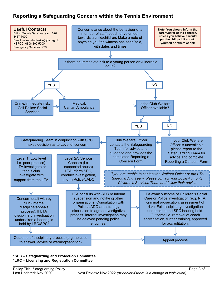# **Reporting a Safeguarding Concern within the Tennis Environment**



#### **\*SPC – Safeguarding and Protection Committee \*LRC – Licensing and Registration Committee**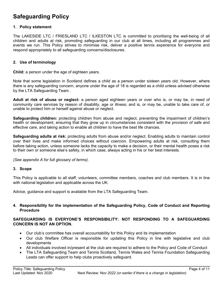# **Safeguarding Policy**

#### **1. Policy statement**

The LAKESIDE LTC / FRIESLAND LTC / ILKESTON LTC is committed to prioritising the well-being of all children and adults at risk, promoting safeguarding in our club at all times, including all programmes and events we run. This Policy strives to minimise risk, deliver a positive tennis experience for everyone and respond appropriately to all safeguarding concerns/disclosures.

#### **2. Use of terminology**

**Child:** a person under the age of eighteen years.

Note that some legislation in Scotland defines a child as a person under sixteen years old. However, where there is any safeguarding concern, anyone under the age of 18 is regarded as a child unless advised otherwise by the LTA Safeguarding Team .

**Adult at risk of abuse or neglect:** a person aged eighteen years or over who is, or may be, in need of community care services by reason of disability, age or illness; and is, or may be, unable to take care of, or unable to protect him or herself against abuse or neglect.

**Safeguarding children:** protecting children from abuse and neglect, preventing the impairment of children's health or development, ensuring that they grow up in circumstances consistent with the provision of safe and effective care, and taking action to enable all children to have the best life chances.

**Safeguarding adults at risk:** protecting adults from abuse and/or neglect. Enabling adults to maintain control over their lives and make informed choices without coercion. Empowering adults at risk, consulting them before taking action, unless someone lacks the capacity to make a decision, or their mental health poses a risk to their own or someone else's safety, in which case, always acting in his or her best interests.

*(See appendix A for full glossary of terms)*.

#### **3. Scope**

This Policy is applicable to all staff, volunteers, committee members, coaches and club members. It is in line with national legislation and applicable across the UK.

Advice, guidance and support is available from the LTA Safeguarding Team.

#### **4. Responsibility for the implementation of the Safeguarding Policy, Code of Conduct and Reporting Procedure**

#### **SAFEGUARDING IS EVERYONE'S RESPONSIBILITY: NOT RESPONDING TO A SAFEGUARDING CONCERN IS NOT AN OPTION.**

- Our club's committee has overall accountability for this Policy and its implementation
- Our club Welfare Officer is responsible for updating this Policy in line with legislative and club developments
- All individuals involved in/present at the club are required to adhere to the Policy and Code of Conduct
- The LTA Safeguarding Team and Tennis Scotland, Tennis Wales and Tennis Foundation Safeguarding Leads can offer support to help clubs proactively safeguard.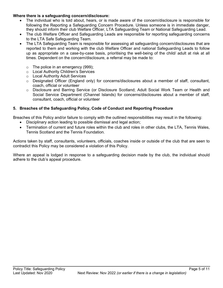#### **Where there is a safeguarding concern/disclosure:**

- The individual who is told about, hears, or is made aware of the concern/disclosure is responsible for following the Reporting a Safeguarding Concern Procedure. Unless someone is in immediate danger, they should inform their club Welfare Officer, LTA Safeguarding Team or National Safeguarding Lead.
- The club Welfare Officer and Safeguarding Leads are responsible for reporting safeguarding concerns to the LTA Safe Safeguarding Team.
- The LTA Safeguarding Team is responsible for assessing all safeguarding concern/disclosures that are reported to them and working with the club Welfare Officer and national Safeguarding Leads to follow up as appropriate on a case-by-case basis, prioritising the well-being of the child/ adult at risk at all times. Dependent on the concern/disclosure, a referral may be made to:
	- $\circ$  The police in an emergency (999);
	- o Local Authority Children's Services
	- o Local Authority Adult Services
	- o Designated Officer (England only) for concerns/disclosures about a member of staff, consultant, coach, official or volunteer
	- o Disclosure and Barring Service (or Disclosure Scotland; Adult Social Work Team or Health and Social Service Department (Channel Islands) for concerns/disclosures about a member of staff, consultant, coach, official or volunteer

#### **5. Breaches of the Safeguarding Policy, Code of Conduct and Reporting Procedure**

Breaches of this Policy and/or failure to comply with the outlined responsibilities may result in the following:

- Disciplinary action leading to possible dismissal and legal action;
- Termination of current and future roles within the club and roles in other clubs, the LTA, Tennis Wales, Tennis Scotland and the Tennis Foundation*.*

Actions taken by staff, consultants, volunteers, officials, coaches inside or outside of the club that are seen to contradict this Policy may be considered a violation of this Policy.

Where an appeal is lodged in response to a safeguarding decision made by the club, the individual should adhere to the club's appeal procedure.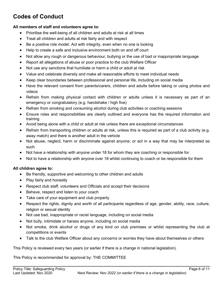# **Codes of Conduct**

#### **All members of staff and volunteers agree to:**

- Prioritise the well-being of all children and adults at risk at all times
- Treat all children and adults at risk fairly and with respect
- Be a positive role model. Act with integrity, even when no one is looking
- Help to create a safe and inclusive environment both on and off court
- Not allow any rough or dangerous behaviour, bullying or the use of bad or inappropriate language
- Report all allegations of abuse or poor practice to the club Welfare Officer
- Not use any sanctions that humiliate or harm a child or adult at risk
- Value and celebrate diversity and make all reasonable efforts to meet individual needs
- Keep clear boundaries between professional and personal life, including on social media
- Have the relevant consent from parents/carers, children and adults before taking or using photos and videos
- Refrain from making physical contact with children or adults unless it is necessary as part of an emergency or congratulatory (e.g. handshake / high five)
- Refrain from smoking and consuming alcohol during club activities or coaching sessions
- Ensure roles and responsibilities are clearly outlined and everyone has the required information and training
- Avoid being alone with a child or adult at risk unless there are exceptional circumstances
- Refrain from transporting children or adults at risk, unless this is required as part of a club activity (e.g. away match) and there is another adult in the vehicle
- Not abuse, neglect, harm or discriminate against anyone; or act in a way that may be interpreted as such
- Not have a relationship with anyone under 18 for whom they are coaching or responsible for
- Not to have a relationship with anyone over 18 whilst continuing to coach or be responsible for them

#### **All children agree to:**

- Be friendly, supportive and welcoming to other children and adults
- Play fairly and honestly
- Respect club staff, volunteers and Officials and accept their decisions
- Behave, respect and listen to your coach
- Take care of your equipment and club property
- Respect the rights, dignity and worth of all participants regardless of age, gender, ability, race, culture, religion or sexual identity
- Not use bad, inappropriate or racist language, including on social media
- Not bully, intimidate or harass anyone, including on social media
- Not smoke, drink alcohol or drugs of any kind on club premises or whilst representing the club at competitions or events
- Talk to the club Welfare Officer about any concerns or worries they have about themselves or others

This Policy is reviewed every two years (or earlier if there is a change in national legislation).

This Policy is recommended for approval by: THE COMMITTEE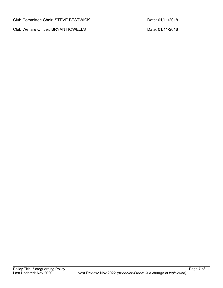Club Committee Chair: STEVE BESTWICK Date: 01/11/2018

Club Welfare Officer: BRYAN HOWELLS Date: 01/11/2018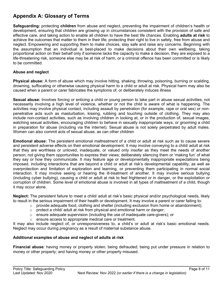# **Appendix A: Glossary of Terms**

**Safeguarding:** protecting **children** from abuse and neglect, preventing the impairment of children's health or development, ensuring that children are growing up in circumstances consistent with the provision of safe and effective care, and taking action to enable all children to have the best life chances. Enabling **adults at risk** to achieve the outcomes that matter to them in their life; protecting their right to live in safety, free from abuse and neglect. Empowering and supporting them to make choices, stay safe and raise any concerns. Beginning with the assumption that an individual is best-placed to make decisions about their own wellbeing, taking proportional action on their behalf only if someone lacks the capacity to make a decision, they are exposed to a life-threatening risk, someone else may be at risk of harm, or a criminal offence has been committed or is likely to be committed.

#### **Abuse and neglect**

**Physical abuse:** A form of abuse which may involve hitting, shaking, throwing, poisoning, burning or scalding, drowning, suffocating or otherwise causing physical harm to a child or adult at risk. Physical harm may also be caused when a parent or carer fabricates the symptoms of, or deliberately induces illness

**Sexual abuse:** Involves forcing or enticing a child or young person to take part in abuse sexual activities, not necessarily involving a high level of violence, whether or not the child is aware of what is happening. The activities may involve physical contact, including assault by penetration (for example, rape or oral sex) or nonpenetrative acts such as masturbation, kissing, rubbing and touching outside of clothing. They may also include non-contact activities, such as involving children in looking at, or in the production of, sexual images, watching sexual activities, encouraging children to behave in sexually inappropriate ways, or grooming a child in preparation for abuse (including via the internet). Sexual abuse is not solely perpetrated by adult males. Women can also commit acts of sexual abuse, as can other children

**Emotional abuse:** The persistent emotional maltreatment of a child or adult at risk such as to cause severe and persistent adverse effects on their emotional development. It may involve conveying to a child/ adult at risk that they are worthless or unloved, inadequate, or valued only insofar as they meet the needs of another person; not giving them opportunities to express their views; deliberately silencing them or 'making fun' of what they say or how they communicate. It may feature age or developmentally inappropriate expectations being imposed, including interactions that are beyond a child or adult at risk's developmental capability, as well as overprotection and limitation of exploration and learning, or preventing them participating in normal social interaction. It may involve seeing or hearing the ill-treatment of another. It may involve serious bullying (including cyber bullying), causing a child or adult at risk to feel frightened or in danger, or the exploitation or corruption of children. Some level of emotional abuse is involved in all types of maltreatment of a child, though it may occur alone.

**Neglect:** The persistent failure to meet a child/ adult at risk's basic physical and/or psychological needs, likely to result in the serious impairment of their health or development. It may involve a parent or carer failing to:

- $\circ$  provide adequate food, clothing and shelter (including exclusion from home or abandonment);
- $\circ$  protect a child/ adult at risk from physical and emotional harm or danger;
- $\circ$  ensure adequate supervision (including the use of inadequate care-givers); or
- o ensure access to appropriate medical care or treatment.

It may also include neglect of, or unresponsiveness to, a child's or adult at risk's basic emotional needs. Neglect may occur during pregnancy as a result of maternal substance abuse.

#### **Additional examples of abuse and neglect of adults at risk**

**Financial abuse**: having money or property stolen; being defrauded; being put under pressure in relation to money or other property; and having money or other property misused.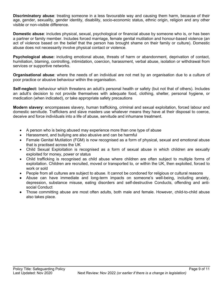**Discriminatory abuse**: treating someone in a less favourable way and causing them harm, because of their age, gender, sexuality, gender identity, disability, socio-economic status, ethnic origin, religion and any other visible or non-visible difference.

**Domestic abuse**: includes physical, sexual, psychological or financial abuse by someone who is, or has been a partner or family member. Includes forced marriage, female genital mutilation and honour-based violence (an act of violence based on the belief that the person has brought shame on their family or culture). Domestic abuse does not necessarily involve physical contact or violence.

**Psychological abuse:** including emotional abuse, threats of harm or abandonment, deprivation of contact, humiliation, blaming, controlling, intimidation, coercion, harassment, verbal abuse, isolation or withdrawal from services or supportive networks.

**Organisational abuse**: where the needs of an individual are not met by an organisation due to a culture of poor practice or abusive behaviour within the organisation.

**Self-neglect:** behaviour which threatens an adult's personal health or safety (but not that of others). Includes an adult's decision to not provide themselves with adequate food, clothing, shelter, personal hygiene, or medication (when indicated), or take appropriate safety precautions

**Modern slavery**: encompasses slavery, human trafficking, criminal and sexual exploitation, forced labour and domestic servitude. Traffickers and slave masters use whatever means they have at their disposal to coerce, deceive and force individuals into a life of abuse, servitude and inhumane treatment.

- A person who is being abused may experience more than one type of abuse
- Harassment, and bullying are also abusive and can be harmful
- Female Genital Mutilation (FGM) is now recognised as a form of physical, sexual and emotional abuse that is practised across the UK
- Child Sexual Exploitation is recognised as a form of sexual abuse in which children are sexually exploited for money, power or status
- Child trafficking is recognised as child abuse where children are often subject to multiple forms of exploitation. Children are recruited, moved or transported to, or within the UK, then exploited, forced to work or sold
- People from all cultures are subject to abuse. It cannot be condoned for religious or cultural reasons
- Abuse can have immediate and long-term impacts on someone's well-being, including anxiety, depression, substance misuse, eating disorders and self-destructive Conducts, offending and antisocial Conduct
- Those committing abuse are most often adults, both male and female. However, child-to-child abuse also takes place.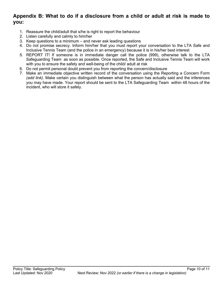### **Appendix B: What to do if a disclosure from a child or adult at risk is made to you:**

- 1. Reassure the child/adult that s/he is right to report the behaviour
- 2. Listen carefully and calmly to him/her
- 3. Keep questions to a minimum and never ask leading questions
- 4. Do not promise secrecy. Inform him/her that you must report your conversation to the LTA Safe and Inclusive Tennis Team (and the police in an emergency) because it is in his/her best interest
- 5. REPORT IT! If someone is in immediate danger call the police (999), otherwise talk to the LTA Safeguarding Team as soon as possible. Once reported, the Safe and Inclusive Tennis Team will work with you to ensure the safety and well-being of the child/ adult at risk
- 6. Do not permit personal doubt prevent you from reporting the concern/disclosure
- 7. Make an immediate objective written record of the conversation using the Reporting a Concern Form *(add link)*. Make certain you distinguish between what the person has actually said and the inferences you may have made. Your report should be sent to the LTA Safeguarding Team within 48 hours of the incident, who will store it safely.